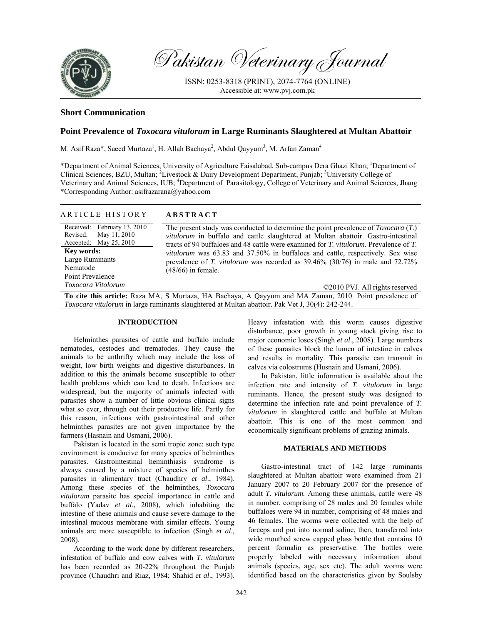

Pakistan Veterinary Journal

ISSN: 0253-8318 (PRINT), 2074-7764 (ONLINE) Accessible at: www.pvj.com.pk

## **Short Communication**

# **Point Prevalence of** *Toxocara vitulorum* **in Large Ruminants Slaughtered at Multan Abattoir**

M. Asif Raza\*, Saeed Murtaza<sup>1</sup>, H. Allah Bachaya<sup>2</sup>, Abdul Qayyum<sup>3</sup>, M. Arfan Zaman<sup>4</sup>

\*Department of Animal Sciences, University of Agriculture Faisalabad, Sub-campus Dera Ghazi Khan; <sup>1</sup>Department of Clinical Sciences, BZU, Multan; <sup>2</sup>Livestock & Dairy Development Department, Punjab; <sup>3</sup>University College of Veterinary and Animal Sciences, IUB; <sup>4</sup>Department of Parasitology, College of Veterinary and Animal Sciences, Jhang \*Corresponding Author: asifrazarana@yahoo.com

| ARTICLE HISTORY             | <b>ABSTRACT</b>                                                                                      |
|-----------------------------|------------------------------------------------------------------------------------------------------|
| Received: February 13, 2010 | The present study was conducted to determine the point prevalence of $Toxocara(T)$ .                 |
| Revised: May 11, 2010       | <i>vitulorum</i> in buffalo and cattle slaughtered at Multan abattoir. Gastro-intestinal             |
| Accepted: May $25, 2010$    | tracts of 94 buffaloes and 48 cattle were examined for <i>T. vitulorum</i> . Prevalence of <i>T.</i> |
| <b>Key words:</b>           | <i>vitulorum</i> was 63.83 and 37.50% in buffaloes and cattle, respectively. Sex wise                |
| Large Ruminants             | prevalence of T. <i>vitulorum</i> was recorded as $39.46\%$ ( $30/76$ ) in male and $72.72\%$        |
| Nematode                    | $(48/66)$ in female.                                                                                 |
| Point Prevalence            |                                                                                                      |
| Toxocara Vitolorum          | ©2010 PVJ. All rights reserved                                                                       |
|                             | To gite this outido: Days MA C Murtozo, HA Doshove, A Osymum and MA Zamon, 2010. Doint provolance of |

**To cite this article:** Raza MA, S Murtaza, HA Bachaya, A Qayyum and MA Zaman, 2010. Point prevalence of *Toxocara vitulorum* in large ruminants slaughtered at Multan abattoir. Pak Vet J, 30(4): 242-244.

### **INTRODUCTION**

Helminthes parasites of cattle and buffalo include nematodes, cestodes and trematodes. They cause the animals to be unthrifty which may include the loss of weight, low birth weights and digestive disturbances. In addition to this the animals become susceptible to other health problems which can lead to death. Infections are widespread, but the majority of animals infected with parasites show a number of little obvious clinical signs what so ever, through out their productive life. Partly for this reason, infections with gastrointestinal and other helminthes parasites are not given importance by the farmers (Hasnain and Usmani, 2006).

Pakistan is located in the semi tropic zone: such type environment is conducive for many species of helminthes parasites. Gastrointestinal heminthiasis syndrome is always caused by a mixture of species of helminthes parasites in alimentary tract (Chaudhry *et al*., 1984). Among these species of the helminthes, *Toxocara vitulorum* parasite has special importance in cattle and buffalo (Yadav *et al*., 2008), which inhabiting the intestine of these animals and cause severe damage to the intestinal mucous membrane with similar effects. Young animals are more susceptible to infection (Singh *et al*., 2008).

According to the work done by different researchers, infestation of buffalo and cow calves with *T. vitulorum* has been recorded as 20-22% throughout the Punjab province (Chaudhri and Riaz, 1984; Shahid *et al*., 1993).

Heavy infestation with this worm causes digestive disturbance, poor growth in young stock giving rise to major economic loses (Singh *et al*., 2008). Large numbers of these parasites block the lumen of intestine in calves and results in mortality. This parasite can transmit in calves via colostrums (Husnain and Usmani, 2006).

In Pakistan, little information is available about the infection rate and intensity of *T. vitulorum* in large ruminants. Hence, the present study was designed to determine the infection rate and point prevalence of *T. vitulorum* in slaughtered cattle and buffalo at Multan abattoir. This is one of the most common and economically significant problems of grazing animals.

## **MATERIALS AND METHODS**

Gastro-intestinal tract of 142 large ruminants slaughtered at Multan abattoir were examined from 21 January 2007 to 20 February 2007 for the presence of adult *T. vitulorum.* Among these animals, cattle were 48 in number, comprising of 28 males and 20 females while buffaloes were 94 in number, comprising of 48 males and 46 females. The worms were collected with the help of forceps and put into normal saline, then, transferred into wide mouthed screw capped glass bottle that contains 10 percent formalin as preservative. The bottles were properly labeled with necessary information about animals (species, age, sex etc). The adult worms were identified based on the characteristics given by Soulsby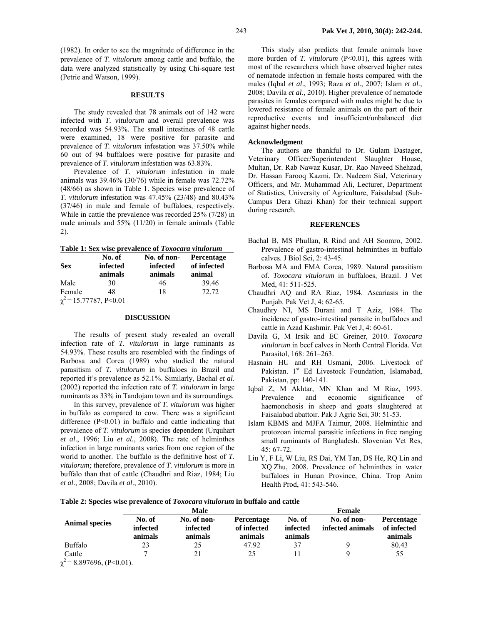(1982). In order to see the magnitude of difference in the prevalence of *T. vitulorum* among cattle and buffalo, the data were analyzed statistically by using Chi-square test (Petrie and Watson, 1999).

#### **RESULTS**

The study revealed that 78 animals out of 142 were infected with *T. vitulorum* and overall prevalence was recorded was 54.93%. The small intestines of 48 cattle were examined, 18 were positive for parasite and prevalence of *T. vitulorum* infestation was 37.50% while 60 out of 94 buffaloes were positive for parasite and prevalence of *T. vitulorum* infestation was 63.83%.

Prevalence of *T. vitulorum* infestation in male animals was 39.46% (30/76) while in female was 72.72% (48/66) as shown in Table 1. Species wise prevalence of *T. vitulorum* infestation was 47.45% (23/48) and 80.43% (37/46) in male and female of buffaloes, respectively. While in cattle the prevalence was recorded 25% (7/28) in male animals and 55% (11/20) in female animals (Table 2).

**Table 1: Sex wise prevalence of** *Toxocara vitulorum*

| <b>Sex</b> | No. of<br>infected<br>animals          | No. of non-<br>infected<br>animals | <b>Percentage</b><br>of infected<br>animal |  |
|------------|----------------------------------------|------------------------------------|--------------------------------------------|--|
| Male       | 30                                     | 46                                 | 39.46                                      |  |
| Female     | 48                                     | 18                                 | 72.72                                      |  |
|            | $\overline{\chi^2}$ = 15.77787, P<0.01 |                                    |                                            |  |

#### **DISCUSSION**

The results of present study revealed an overall infection rate of *T. vitulorum* in large ruminants as 54.93%. These results are resembled with the findings of Barbosa and Corea (1989) who studied the natural parasitism of *T. vitulorum* in buffaloes in Brazil and reported it's prevalence as 52.1%. Similarly, Bachal *et al*. (2002) reported the infection rate of *T. vitulorum* in large ruminants as 33% in Tandojam town and its surroundings.

In this survey, prevalence of *T. vitulorum* was higher in buffalo as compared to cow. There was a significant difference  $(P<0.01)$  in buffalo and cattle indicating that prevalence of *T. vitulorum* is species dependent (Urquhart *et al*., 1996; Liu *et al.*, 2008). The rate of helminthes infection in large ruminants varies from one region of the world to another. The buffalo is the definitive host of *T. vitulorum;* therefore, prevalence of *T. vitulorum* is more in buffalo than that of cattle (Chaudhri and Riaz, 1984; Liu *et al*., 2008; Davila *et al*., 2010).

This study also predicts that female animals have more burden of *T. vitulorum* (P<0.01), this agrees with most of the researchers which have observed higher rates of nematode infection in female hosts compared with the males (Iqbal *et al*., 1993; Raza *et al.,* 2007; Islam *et al.,*  2008; Davila *et al*., 2010). Higher prevalence of nematode parasites in females compared with males might be due to lowered resistance of female animals on the part of their reproductive events and insufficient/unbalanced diet against higher needs.

## **Acknowledgment**

The authors are thankful to Dr. Gulam Dastager, Veterinary Officer/Superintendent Slaughter House, Multan, Dr. Rab Nawaz Kusar, Dr. Rao Naveed Shehzad, Dr. Hassan Farooq Kazmi, Dr. Nadeem Sial, Veterinary Officers, and Mr. Muhammad Ali, Lecturer, Department of Statistics, University of Agriculture, Faisalabad (Sub-Campus Dera Ghazi Khan) for their technical support during research.

#### **REFERENCES**

- Bachal B, MS Phullan, R Rind and AH Soomro, 2002. Prevalence of gastro-intestinal helminthes in buffalo calves. J Biol Sci, 2: 43-45.
- Barbosa MA and FMA Corea, 1989. Natural parasitism of. *Toxocara vitulorum* in buffaloes, Brazil. J Vet Med, 41: 511-525.
- Chaudhri AQ and RA Riaz, 1984. Ascariasis in the Punjab. Pak Vet J, 4: 62-65.
- Chaudhry NI, MS Durani and T Aziz, 1984. The incidence of gastro-intestinal parasite in buffaloes and cattle in Azad Kashmir. Pak Vet J, 4: 60-61.
- Davila G, M Irsik and EC Greiner, 2010. *Toxocara vitulorum* in beef calves in North Central Florida. Vet Parasitol, 168: 261–263.
- Hasnain HU and RH Usmani, 2006. Livestock of Pakistan. 1<sup>st</sup> Ed Livestock Foundation, Islamabad, Pakistan, pp: 140-141.
- Iqbal Z, M Akhtar, MN Khan and M Riaz, 1993. Prevalence and economic significance of haemonchosis in sheep and goats slaughtered at Faisalabad abattoir. Pak J Agric Sci, 30: 51-53.
- Islam KBMS and MJFA Taimur, 2008. Helminthic and protozoan internal parasitic infections in free ranging small ruminants of Bangladesh. Slovenian Vet Res, 45: 67-72.
- Liu Y, F Li, W Liu, RS Dai, YM Tan, DS He, RQ Lin and XQ Zhu, 2008. Prevalence of helminthes in water buffaloes in Hunan Province, China. Trop Anim Health Prod, 41: 543-546.

| Table 2: Species wise prevalence of <i>Toxocara vitulorum</i> in buffalo and cattle |  |  |  |  |  |  |  |  |  |  |  |  |
|-------------------------------------------------------------------------------------|--|--|--|--|--|--|--|--|--|--|--|--|
|-------------------------------------------------------------------------------------|--|--|--|--|--|--|--|--|--|--|--|--|

|                       |                               | Male                               |                                      |                               | Female                          |                                      |
|-----------------------|-------------------------------|------------------------------------|--------------------------------------|-------------------------------|---------------------------------|--------------------------------------|
| <b>Animal species</b> | No. of<br>infected<br>animals | No. of non-<br>infected<br>animals | Percentage<br>of infected<br>animals | No. of<br>infected<br>animals | No. of non-<br>infected animals | Percentage<br>of infected<br>animals |
| Buffalo               |                               | 25                                 | 47.92                                |                               |                                 | 80.43                                |
| Cattle                |                               | 21                                 | 25                                   |                               |                                 | 55                                   |

 $\chi^2$  = 8.897696, (P<0.01).